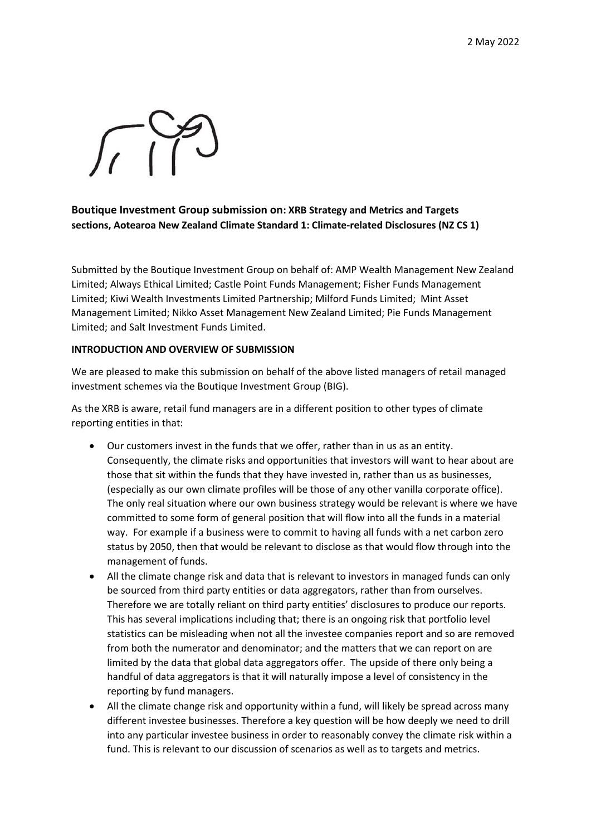

# **Boutique Investment Group submission on: XRB Strategy and Metrics and Targets sections, Aotearoa New Zealand Climate Standard 1: Climate-related Disclosures (NZ CS 1)**

Submitted by the Boutique Investment Group on behalf of: AMP Wealth Management New Zealand Limited; Always Ethical Limited; Castle Point Funds Management; Fisher Funds Management Limited; Kiwi Wealth Investments Limited Partnership; Milford Funds Limited; Mint Asset Management Limited; Nikko Asset Management New Zealand Limited; Pie Funds Management Limited; and Salt Investment Funds Limited.

#### **INTRODUCTION AND OVERVIEW OF SUBMISSION**

We are pleased to make this submission on behalf of the above listed managers of retail managed investment schemes via the Boutique Investment Group (BIG).

As the XRB is aware, retail fund managers are in a different position to other types of climate reporting entities in that:

- Our customers invest in the funds that we offer, rather than in us as an entity. Consequently, the climate risks and opportunities that investors will want to hear about are those that sit within the funds that they have invested in, rather than us as businesses, (especially as our own climate profiles will be those of any other vanilla corporate office). The only real situation where our own business strategy would be relevant is where we have committed to some form of general position that will flow into all the funds in a material way. For example if a business were to commit to having all funds with a net carbon zero status by 2050, then that would be relevant to disclose as that would flow through into the management of funds.
- All the climate change risk and data that is relevant to investors in managed funds can only be sourced from third party entities or data aggregators, rather than from ourselves. Therefore we are totally reliant on third party entities' disclosures to produce our reports. This has several implications including that; there is an ongoing risk that portfolio level statistics can be misleading when not all the investee companies report and so are removed from both the numerator and denominator; and the matters that we can report on are limited by the data that global data aggregators offer. The upside of there only being a handful of data aggregators is that it will naturally impose a level of consistency in the reporting by fund managers.
- All the climate change risk and opportunity within a fund, will likely be spread across many different investee businesses. Therefore a key question will be how deeply we need to drill into any particular investee business in order to reasonably convey the climate risk within a fund. This is relevant to our discussion of scenarios as well as to targets and metrics.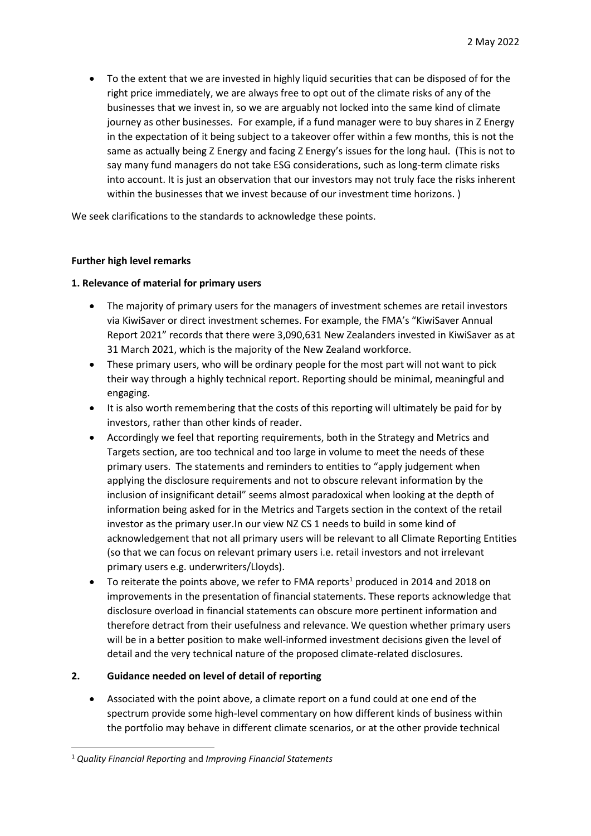• To the extent that we are invested in highly liquid securities that can be disposed of for the right price immediately, we are always free to opt out of the climate risks of any of the businesses that we invest in, so we are arguably not locked into the same kind of climate journey as other businesses. For example, if a fund manager were to buy shares in Z Energy in the expectation of it being subject to a takeover offer within a few months, this is not the same as actually being Z Energy and facing Z Energy's issues for the long haul. (This is not to say many fund managers do not take ESG considerations, such as long-term climate risks into account. It is just an observation that our investors may not truly face the risks inherent within the businesses that we invest because of our investment time horizons. )

We seek clarifications to the standards to acknowledge these points.

# **Further high level remarks**

# **1. Relevance of material for primary users**

- The majority of primary users for the managers of investment schemes are retail investors via KiwiSaver or direct investment schemes. For example, the FMA's "KiwiSaver Annual Report 2021" records that there were 3,090,631 New Zealanders invested in KiwiSaver as at 31 March 2021, which is the majority of the New Zealand workforce.
- These primary users, who will be ordinary people for the most part will not want to pick their way through a highly technical report. Reporting should be minimal, meaningful and engaging.
- It is also worth remembering that the costs of this reporting will ultimately be paid for by investors, rather than other kinds of reader.
- Accordingly we feel that reporting requirements, both in the Strategy and Metrics and Targets section, are too technical and too large in volume to meet the needs of these primary users. The statements and reminders to entities to "apply judgement when applying the disclosure requirements and not to obscure relevant information by the inclusion of insignificant detail" seems almost paradoxical when looking at the depth of information being asked for in the Metrics and Targets section in the context of the retail investor as the primary user.In our view NZ CS 1 needs to build in some kind of acknowledgement that not all primary users will be relevant to all Climate Reporting Entities (so that we can focus on relevant primary users i.e. retail investors and not irrelevant primary users e.g. underwriters/Lloyds).
- To reiterate the points above, we refer to FMA reports<sup>1</sup> produced in 2014 and 2018 on improvements in the presentation of financial statements. These reports acknowledge that disclosure overload in financial statements can obscure more pertinent information and therefore detract from their usefulness and relevance. We question whether primary users will be in a better position to make well-informed investment decisions given the level of detail and the very technical nature of the proposed climate-related disclosures.

# **2. Guidance needed on level of detail of reporting**

• Associated with the point above, a climate report on a fund could at one end of the spectrum provide some high-level commentary on how different kinds of business within the portfolio may behave in different climate scenarios, or at the other provide technical

<sup>1</sup> *Quality Financial Reporting* and *Improving Financial Statements*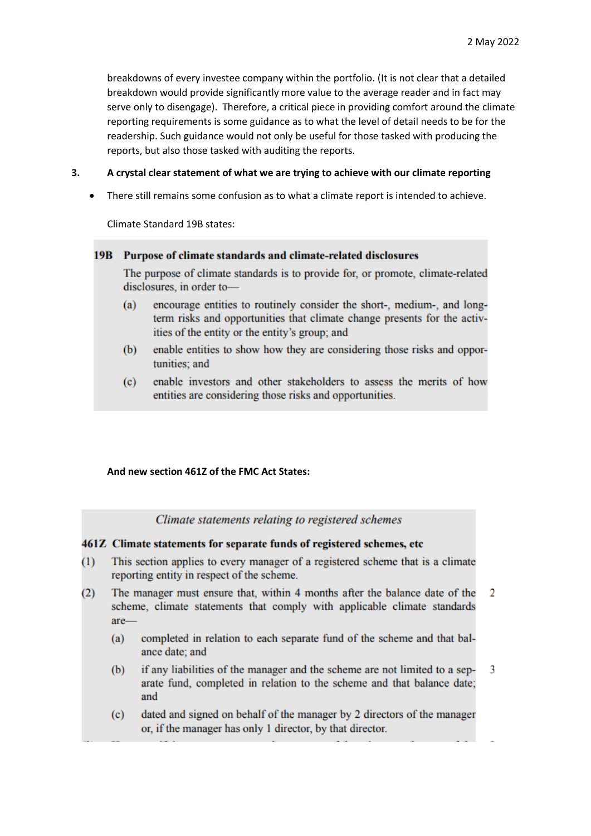breakdowns of every investee company within the portfolio. (It is not clear that a detailed breakdown would provide significantly more value to the average reader and in fact may serve only to disengage). Therefore, a critical piece in providing comfort around the climate reporting requirements is some guidance as to what the level of detail needs to be for the readership. Such guidance would not only be useful for those tasked with producing the reports, but also those tasked with auditing the reports.

## **3. A crystal clear statement of what we are trying to achieve with our climate reporting**

• There still remains some confusion as to what a climate report is intended to achieve.

Climate Standard 19B states:

# 19B Purpose of climate standards and climate-related disclosures

The purpose of climate standards is to provide for, or promote, climate-related disclosures, in order to-

- encourage entities to routinely consider the short-, medium-, and long- $(a)$ term risks and opportunities that climate change presents for the activities of the entity or the entity's group; and
- (b) enable entities to show how they are considering those risks and opportunities; and
- enable investors and other stakeholders to assess the merits of how  $(c)$ entities are considering those risks and opportunities.

### **And new section 461Z of the FMC Act States:**

Climate statements relating to registered schemes

### 461Z Climate statements for separate funds of registered schemes, etc

- This section applies to every manager of a registered scheme that is a climate  $(1)$ reporting entity in respect of the scheme.
- The manager must ensure that, within 4 months after the balance date of the  $\overline{2}$  $(2)$ scheme, climate statements that comply with applicable climate standards  $are$ 
	- completed in relation to each separate fund of the scheme and that bal- $(a)$ ance date; and
	- if any liabilities of the manager and the scheme are not limited to a sep-3 (b) arate fund, completed in relation to the scheme and that balance date; and
	- $(c)$ dated and signed on behalf of the manager by 2 directors of the manager or, if the manager has only 1 director, by that director.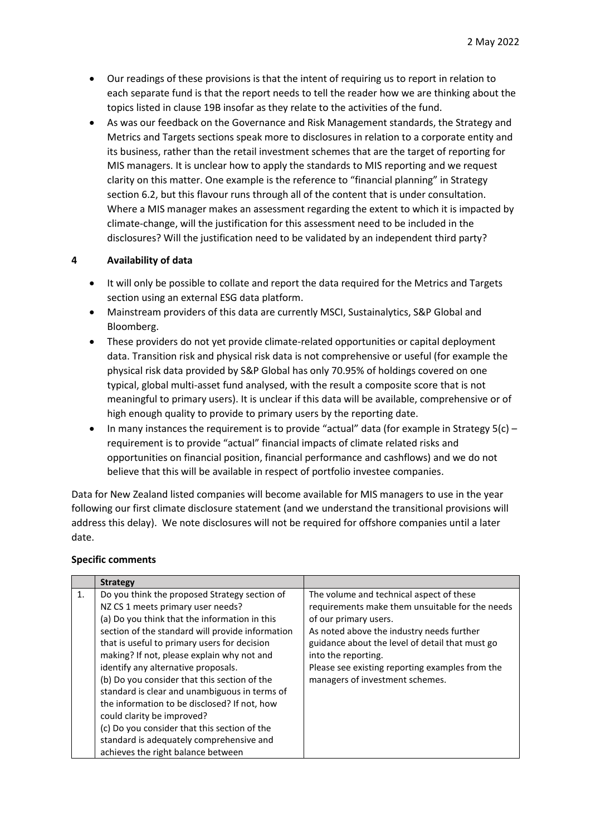- Our readings of these provisions is that the intent of requiring us to report in relation to each separate fund is that the report needs to tell the reader how we are thinking about the topics listed in clause 19B insofar as they relate to the activities of the fund.
- As was our feedback on the Governance and Risk Management standards, the Strategy and Metrics and Targets sections speak more to disclosures in relation to a corporate entity and its business, rather than the retail investment schemes that are the target of reporting for MIS managers. It is unclear how to apply the standards to MIS reporting and we request clarity on this matter. One example is the reference to "financial planning" in Strategy section 6.2, but this flavour runs through all of the content that is under consultation. Where a MIS manager makes an assessment regarding the extent to which it is impacted by climate-change, will the justification for this assessment need to be included in the disclosures? Will the justification need to be validated by an independent third party?

### **4 Availability of data**

- It will only be possible to collate and report the data required for the Metrics and Targets section using an external ESG data platform.
- Mainstream providers of this data are currently MSCI, Sustainalytics, S&P Global and Bloomberg.
- These providers do not yet provide climate-related opportunities or capital deployment data. Transition risk and physical risk data is not comprehensive or useful (for example the physical risk data provided by S&P Global has only 70.95% of holdings covered on one typical, global multi-asset fund analysed, with the result a composite score that is not meaningful to primary users). It is unclear if this data will be available, comprehensive or of high enough quality to provide to primary users by the reporting date.
- In many instances the requirement is to provide "actual" data (for example in Strategy 5(c) requirement is to provide "actual" financial impacts of climate related risks and opportunities on financial position, financial performance and cashflows) and we do not believe that this will be available in respect of portfolio investee companies.

Data for New Zealand listed companies will become available for MIS managers to use in the year following our first climate disclosure statement (and we understand the transitional provisions will address this delay). We note disclosures will not be required for offshore companies until a later date.

#### **Specific comments**

|    | <b>Strategy</b>                                                                                                                                                                                                                                                                                                                                                                                                                                                               |                                                                                                                                                                                                                                                                                                                                   |
|----|-------------------------------------------------------------------------------------------------------------------------------------------------------------------------------------------------------------------------------------------------------------------------------------------------------------------------------------------------------------------------------------------------------------------------------------------------------------------------------|-----------------------------------------------------------------------------------------------------------------------------------------------------------------------------------------------------------------------------------------------------------------------------------------------------------------------------------|
| 1. | Do you think the proposed Strategy section of<br>NZ CS 1 meets primary user needs?<br>(a) Do you think that the information in this<br>section of the standard will provide information<br>that is useful to primary users for decision<br>making? If not, please explain why not and<br>identify any alternative proposals.<br>(b) Do you consider that this section of the<br>standard is clear and unambiguous in terms of<br>the information to be disclosed? If not, how | The volume and technical aspect of these<br>requirements make them unsuitable for the needs<br>of our primary users.<br>As noted above the industry needs further<br>guidance about the level of detail that must go<br>into the reporting.<br>Please see existing reporting examples from the<br>managers of investment schemes. |
|    |                                                                                                                                                                                                                                                                                                                                                                                                                                                                               |                                                                                                                                                                                                                                                                                                                                   |
|    | could clarity be improved?<br>(c) Do you consider that this section of the                                                                                                                                                                                                                                                                                                                                                                                                    |                                                                                                                                                                                                                                                                                                                                   |
|    | standard is adequately comprehensive and                                                                                                                                                                                                                                                                                                                                                                                                                                      |                                                                                                                                                                                                                                                                                                                                   |
|    | achieves the right balance between                                                                                                                                                                                                                                                                                                                                                                                                                                            |                                                                                                                                                                                                                                                                                                                                   |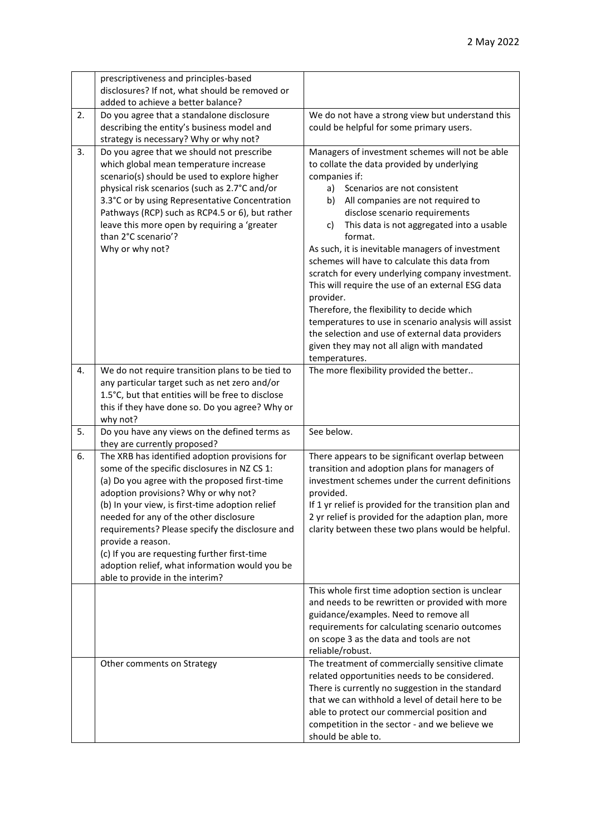|    | prescriptiveness and principles-based<br>disclosures? If not, what should be removed or<br>added to achieve a better balance?                                                                                                                                                                                                                                                                                                                                                                     |                                                                                                                                                                                                                                                                                                                                                                                                                                                                                                                                                                                                                                                                                                                                                     |
|----|---------------------------------------------------------------------------------------------------------------------------------------------------------------------------------------------------------------------------------------------------------------------------------------------------------------------------------------------------------------------------------------------------------------------------------------------------------------------------------------------------|-----------------------------------------------------------------------------------------------------------------------------------------------------------------------------------------------------------------------------------------------------------------------------------------------------------------------------------------------------------------------------------------------------------------------------------------------------------------------------------------------------------------------------------------------------------------------------------------------------------------------------------------------------------------------------------------------------------------------------------------------------|
| 2. | Do you agree that a standalone disclosure<br>describing the entity's business model and<br>strategy is necessary? Why or why not?                                                                                                                                                                                                                                                                                                                                                                 | We do not have a strong view but understand this<br>could be helpful for some primary users.                                                                                                                                                                                                                                                                                                                                                                                                                                                                                                                                                                                                                                                        |
| 3. | Do you agree that we should not prescribe<br>which global mean temperature increase<br>scenario(s) should be used to explore higher<br>physical risk scenarios (such as 2.7°C and/or<br>3.3°C or by using Representative Concentration<br>Pathways (RCP) such as RCP4.5 or 6), but rather<br>leave this more open by requiring a 'greater<br>than 2°C scenario'?<br>Why or why not?                                                                                                               | Managers of investment schemes will not be able<br>to collate the data provided by underlying<br>companies if:<br>a)<br>Scenarios are not consistent<br>All companies are not required to<br>b)<br>disclose scenario requirements<br>This data is not aggregated into a usable<br>c)<br>format.<br>As such, it is inevitable managers of investment<br>schemes will have to calculate this data from<br>scratch for every underlying company investment.<br>This will require the use of an external ESG data<br>provider.<br>Therefore, the flexibility to decide which<br>temperatures to use in scenario analysis will assist<br>the selection and use of external data providers<br>given they may not all align with mandated<br>temperatures. |
| 4. | We do not require transition plans to be tied to<br>any particular target such as net zero and/or<br>1.5°C, but that entities will be free to disclose<br>this if they have done so. Do you agree? Why or<br>why not?                                                                                                                                                                                                                                                                             | The more flexibility provided the better                                                                                                                                                                                                                                                                                                                                                                                                                                                                                                                                                                                                                                                                                                            |
| 5. | Do you have any views on the defined terms as<br>they are currently proposed?                                                                                                                                                                                                                                                                                                                                                                                                                     | See below.                                                                                                                                                                                                                                                                                                                                                                                                                                                                                                                                                                                                                                                                                                                                          |
| 6. | The XRB has identified adoption provisions for<br>some of the specific disclosures in NZ CS 1:<br>(a) Do you agree with the proposed first-time<br>adoption provisions? Why or why not?<br>(b) In your view, is first-time adoption relief<br>needed for any of the other disclosure<br>requirements? Please specify the disclosure and<br>provide a reason.<br>(c) If you are requesting further first-time<br>adoption relief, what information would you be<br>able to provide in the interim? | There appears to be significant overlap between<br>transition and adoption plans for managers of<br>investment schemes under the current definitions<br>provided.<br>If 1 yr relief is provided for the transition plan and<br>2 yr relief is provided for the adaption plan, more<br>clarity between these two plans would be helpful.                                                                                                                                                                                                                                                                                                                                                                                                             |
|    |                                                                                                                                                                                                                                                                                                                                                                                                                                                                                                   | This whole first time adoption section is unclear<br>and needs to be rewritten or provided with more<br>guidance/examples. Need to remove all<br>requirements for calculating scenario outcomes<br>on scope 3 as the data and tools are not<br>reliable/robust.                                                                                                                                                                                                                                                                                                                                                                                                                                                                                     |
|    | Other comments on Strategy                                                                                                                                                                                                                                                                                                                                                                                                                                                                        | The treatment of commercially sensitive climate<br>related opportunities needs to be considered.<br>There is currently no suggestion in the standard<br>that we can withhold a level of detail here to be<br>able to protect our commercial position and<br>competition in the sector - and we believe we<br>should be able to.                                                                                                                                                                                                                                                                                                                                                                                                                     |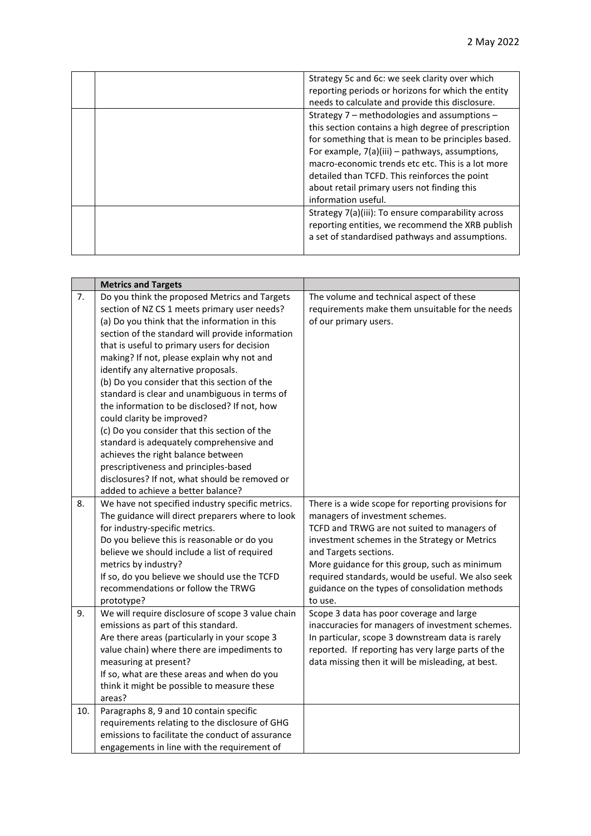|  | Strategy 5c and 6c: we seek clarity over which<br>reporting periods or horizons for which the entity<br>needs to calculate and provide this disclosure.                                                                                                                                                                                                                                  |
|--|------------------------------------------------------------------------------------------------------------------------------------------------------------------------------------------------------------------------------------------------------------------------------------------------------------------------------------------------------------------------------------------|
|  | Strategy 7 - methodologies and assumptions -<br>this section contains a high degree of prescription<br>for something that is mean to be principles based.<br>For example, 7(a)(iii) - pathways, assumptions,<br>macro-economic trends etc etc. This is a lot more<br>detailed than TCFD. This reinforces the point<br>about retail primary users not finding this<br>information useful. |
|  | Strategy 7(a)(iii): To ensure comparability across<br>reporting entities, we recommend the XRB publish<br>a set of standardised pathways and assumptions.                                                                                                                                                                                                                                |

|     | <b>Metrics and Targets</b>                        |                                                    |
|-----|---------------------------------------------------|----------------------------------------------------|
| 7.  | Do you think the proposed Metrics and Targets     | The volume and technical aspect of these           |
|     | section of NZ CS 1 meets primary user needs?      | requirements make them unsuitable for the needs    |
|     | (a) Do you think that the information in this     | of our primary users.                              |
|     | section of the standard will provide information  |                                                    |
|     | that is useful to primary users for decision      |                                                    |
|     | making? If not, please explain why not and        |                                                    |
|     | identify any alternative proposals.               |                                                    |
|     | (b) Do you consider that this section of the      |                                                    |
|     | standard is clear and unambiguous in terms of     |                                                    |
|     | the information to be disclosed? If not, how      |                                                    |
|     | could clarity be improved?                        |                                                    |
|     | (c) Do you consider that this section of the      |                                                    |
|     | standard is adequately comprehensive and          |                                                    |
|     | achieves the right balance between                |                                                    |
|     | prescriptiveness and principles-based             |                                                    |
|     | disclosures? If not, what should be removed or    |                                                    |
|     | added to achieve a better balance?                |                                                    |
| 8.  | We have not specified industry specific metrics.  | There is a wide scope for reporting provisions for |
|     | The guidance will direct preparers where to look  | managers of investment schemes.                    |
|     | for industry-specific metrics.                    | TCFD and TRWG are not suited to managers of        |
|     | Do you believe this is reasonable or do you       | investment schemes in the Strategy or Metrics      |
|     | believe we should include a list of required      | and Targets sections.                              |
|     | metrics by industry?                              | More guidance for this group, such as minimum      |
|     | If so, do you believe we should use the TCFD      | required standards, would be useful. We also seek  |
|     | recommendations or follow the TRWG                | guidance on the types of consolidation methods     |
|     | prototype?                                        | to use.                                            |
| 9.  | We will require disclosure of scope 3 value chain | Scope 3 data has poor coverage and large           |
|     | emissions as part of this standard.               | inaccuracies for managers of investment schemes.   |
|     | Are there areas (particularly in your scope 3     | In particular, scope 3 downstream data is rarely   |
|     | value chain) where there are impediments to       | reported. If reporting has very large parts of the |
|     | measuring at present?                             | data missing then it will be misleading, at best.  |
|     | If so, what are these areas and when do you       |                                                    |
|     | think it might be possible to measure these       |                                                    |
|     | areas?                                            |                                                    |
| 10. | Paragraphs 8, 9 and 10 contain specific           |                                                    |
|     | requirements relating to the disclosure of GHG    |                                                    |
|     | emissions to facilitate the conduct of assurance  |                                                    |
|     | engagements in line with the requirement of       |                                                    |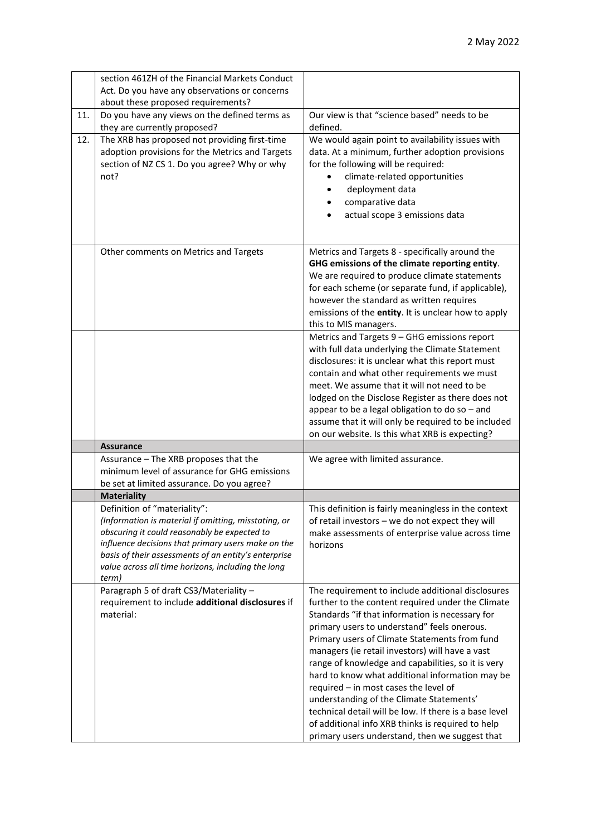|     | section 461ZH of the Financial Markets Conduct<br>Act. Do you have any observations or concerns<br>about these proposed requirements?                                                                                                                                                                             |                                                                                                                                                                                                                                                                                                                                                                                                                                                                                                                                                                                                                                                                             |
|-----|-------------------------------------------------------------------------------------------------------------------------------------------------------------------------------------------------------------------------------------------------------------------------------------------------------------------|-----------------------------------------------------------------------------------------------------------------------------------------------------------------------------------------------------------------------------------------------------------------------------------------------------------------------------------------------------------------------------------------------------------------------------------------------------------------------------------------------------------------------------------------------------------------------------------------------------------------------------------------------------------------------------|
| 11. | Do you have any views on the defined terms as<br>they are currently proposed?                                                                                                                                                                                                                                     | Our view is that "science based" needs to be<br>defined.                                                                                                                                                                                                                                                                                                                                                                                                                                                                                                                                                                                                                    |
| 12. | The XRB has proposed not providing first-time<br>adoption provisions for the Metrics and Targets<br>section of NZ CS 1. Do you agree? Why or why<br>not?                                                                                                                                                          | We would again point to availability issues with<br>data. At a minimum, further adoption provisions<br>for the following will be required:<br>climate-related opportunities<br>deployment data<br>comparative data<br>actual scope 3 emissions data                                                                                                                                                                                                                                                                                                                                                                                                                         |
|     | Other comments on Metrics and Targets                                                                                                                                                                                                                                                                             | Metrics and Targets 8 - specifically around the<br>GHG emissions of the climate reporting entity.<br>We are required to produce climate statements<br>for each scheme (or separate fund, if applicable),<br>however the standard as written requires<br>emissions of the entity. It is unclear how to apply<br>this to MIS managers.                                                                                                                                                                                                                                                                                                                                        |
|     |                                                                                                                                                                                                                                                                                                                   | Metrics and Targets 9 - GHG emissions report<br>with full data underlying the Climate Statement<br>disclosures: it is unclear what this report must<br>contain and what other requirements we must<br>meet. We assume that it will not need to be<br>lodged on the Disclose Register as there does not<br>appear to be a legal obligation to do so - and<br>assume that it will only be required to be included<br>on our website. Is this what XRB is expecting?                                                                                                                                                                                                           |
|     | <b>Assurance</b>                                                                                                                                                                                                                                                                                                  |                                                                                                                                                                                                                                                                                                                                                                                                                                                                                                                                                                                                                                                                             |
|     | Assurance - The XRB proposes that the<br>minimum level of assurance for GHG emissions<br>be set at limited assurance. Do you agree?                                                                                                                                                                               | We agree with limited assurance.                                                                                                                                                                                                                                                                                                                                                                                                                                                                                                                                                                                                                                            |
|     | <b>Materiality</b>                                                                                                                                                                                                                                                                                                |                                                                                                                                                                                                                                                                                                                                                                                                                                                                                                                                                                                                                                                                             |
|     | Definition of "materiality":<br>(Information is material if omitting, misstating, or<br>obscuring it could reasonably be expected to<br>influence decisions that primary users make on the<br>basis of their assessments of an entity's enterprise<br>value across all time horizons, including the long<br>term) | This definition is fairly meaningless in the context<br>of retail investors - we do not expect they will<br>make assessments of enterprise value across time<br>horizons                                                                                                                                                                                                                                                                                                                                                                                                                                                                                                    |
|     | Paragraph 5 of draft CS3/Materiality -<br>requirement to include additional disclosures if<br>material:                                                                                                                                                                                                           | The requirement to include additional disclosures<br>further to the content required under the Climate<br>Standards "if that information is necessary for<br>primary users to understand" feels onerous.<br>Primary users of Climate Statements from fund<br>managers (ie retail investors) will have a vast<br>range of knowledge and capabilities, so it is very<br>hard to know what additional information may be<br>required - in most cases the level of<br>understanding of the Climate Statements'<br>technical detail will be low. If there is a base level<br>of additional info XRB thinks is required to help<br>primary users understand, then we suggest that |